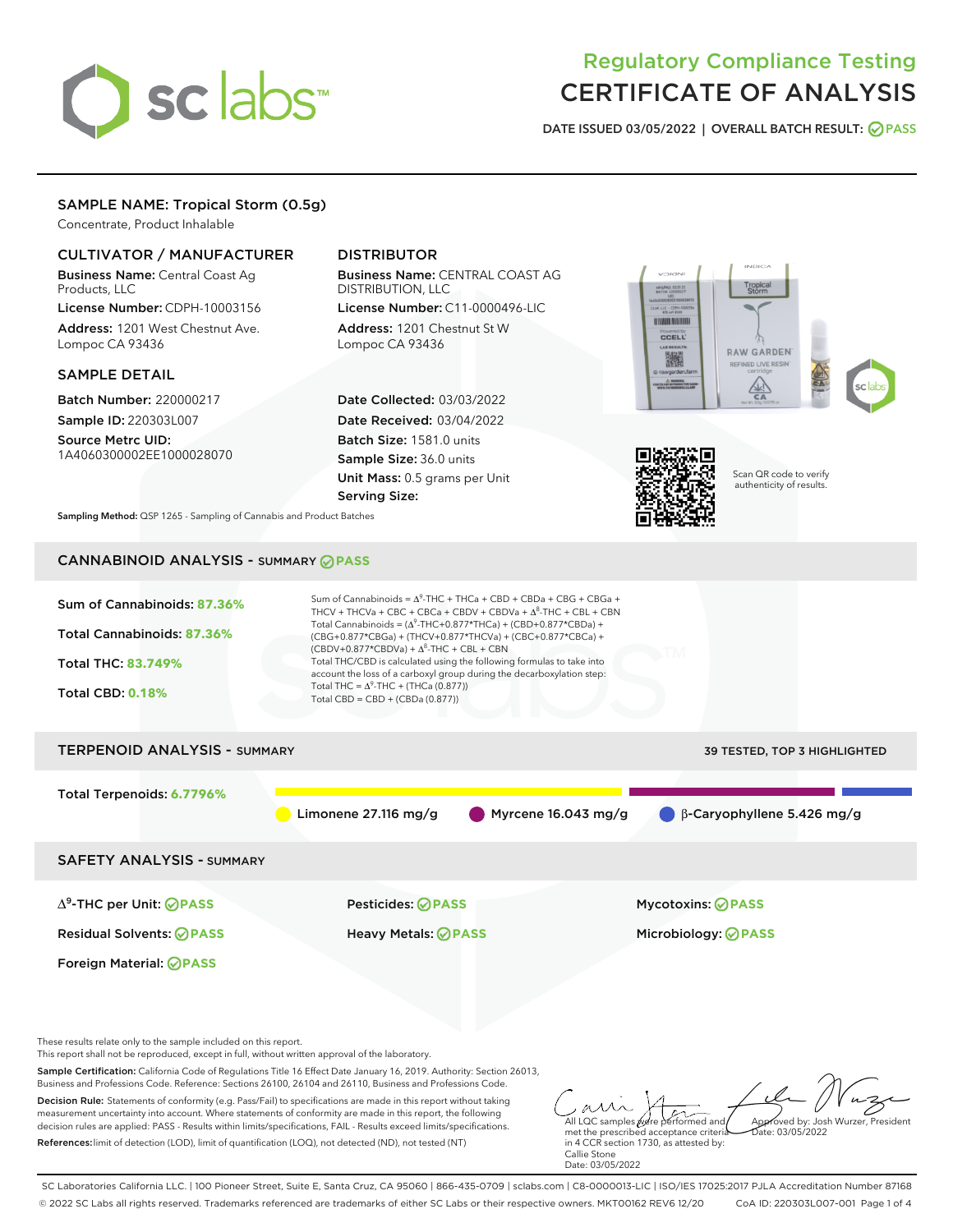# sclabs

# Regulatory Compliance Testing CERTIFICATE OF ANALYSIS

DATE ISSUED 03/05/2022 | OVERALL BATCH RESULT: @ PASS

# SAMPLE NAME: Tropical Storm (0.5g)

Concentrate, Product Inhalable

# CULTIVATOR / MANUFACTURER

Business Name: Central Coast Ag Products, LLC

License Number: CDPH-10003156 Address: 1201 West Chestnut Ave. Lompoc CA 93436

# SAMPLE DETAIL

Batch Number: 220000217 Sample ID: 220303L007

Source Metrc UID: 1A4060300002EE1000028070

# DISTRIBUTOR

Business Name: CENTRAL COAST AG DISTRIBUTION, LLC License Number: C11-0000496-LIC

Address: 1201 Chestnut St W Lompoc CA 93436

Date Collected: 03/03/2022 Date Received: 03/04/2022 Batch Size: 1581.0 units Sample Size: 36.0 units Unit Mass: 0.5 grams per Unit Serving Size:





Scan QR code to verify authenticity of results.

Sampling Method: QSP 1265 - Sampling of Cannabis and Product Batches

# CANNABINOID ANALYSIS - SUMMARY **PASS**



Decision Rule: Statements of conformity (e.g. Pass/Fail) to specifications are made in this report without taking measurement uncertainty into account. Where statements of conformity are made in this report, the following decision rules are applied: PASS - Results within limits/specifications, FAIL - Results exceed limits/specifications.

References:limit of detection (LOD), limit of quantification (LOQ), not detected (ND), not tested (NT)

All LQC samples were performed and met the prescribed acceptance criteria in 4 CCR section 1730, as attested by: Callie Stone Date: 03/05/2022 Approved by: Josh Wurzer, President  $\frac{1}{210}$ : 03/05/2022

SC Laboratories California LLC. | 100 Pioneer Street, Suite E, Santa Cruz, CA 95060 | 866-435-0709 | sclabs.com | C8-0000013-LIC | ISO/IES 17025:2017 PJLA Accreditation Number 87168 © 2022 SC Labs all rights reserved. Trademarks referenced are trademarks of either SC Labs or their respective owners. MKT00162 REV6 12/20 CoA ID: 220303L007-001 Page 1 of 4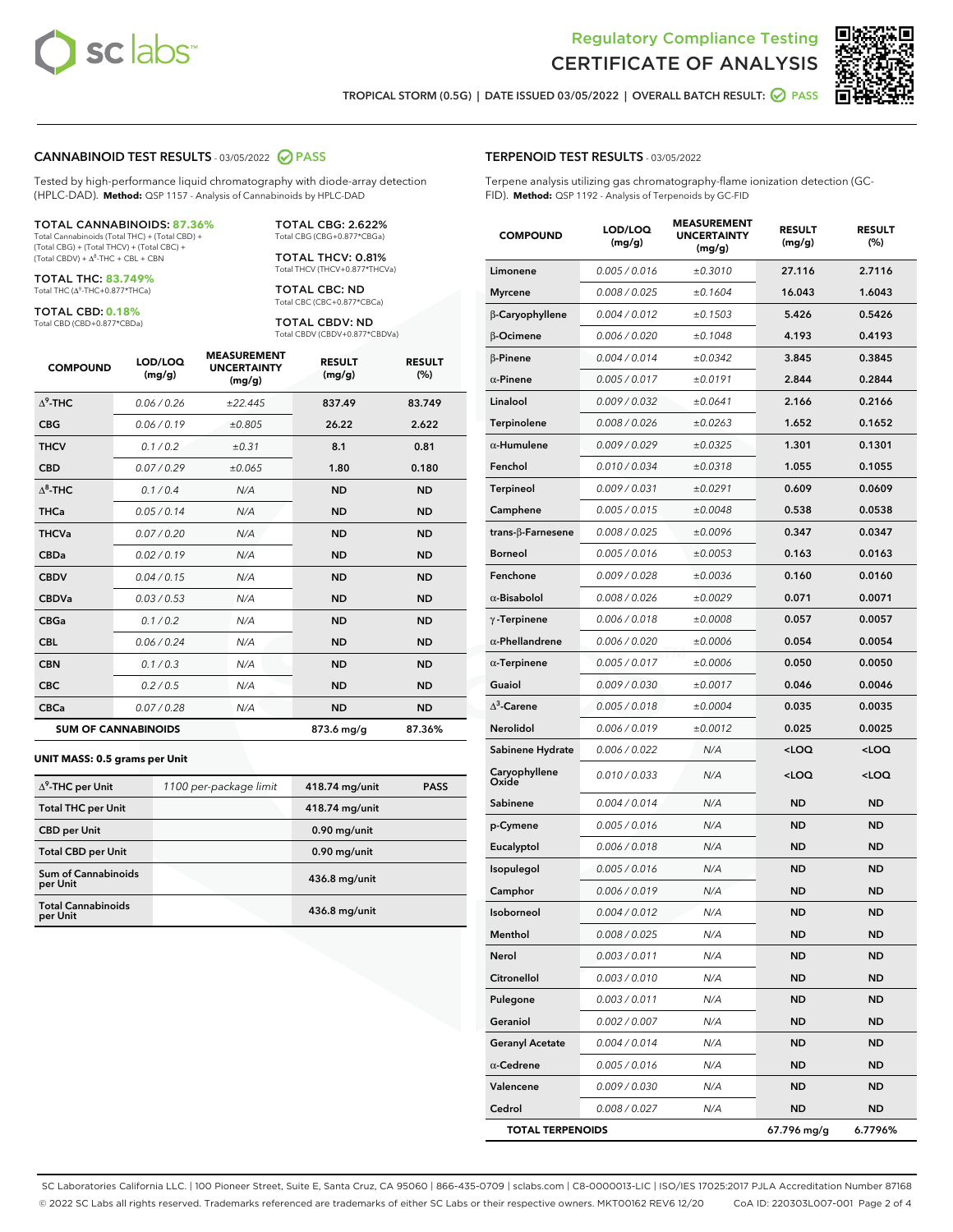



TROPICAL STORM (0.5G) | DATE ISSUED 03/05/2022 | OVERALL BATCH RESULT: **○** PASS

#### CANNABINOID TEST RESULTS - 03/05/2022 2 PASS

Tested by high-performance liquid chromatography with diode-array detection (HPLC-DAD). **Method:** QSP 1157 - Analysis of Cannabinoids by HPLC-DAD

#### TOTAL CANNABINOIDS: **87.36%**

Total Cannabinoids (Total THC) + (Total CBD) + (Total CBG) + (Total THCV) + (Total CBC) +  $(Total CBDV) +  $\Delta^8$ -THC + CBL + CBN$ 

TOTAL THC: **83.749%** Total THC (Δ<sup>9</sup>-THC+0.877\*THCa)

TOTAL CBD: **0.18%**

Total CBD (CBD+0.877\*CBDa)

TOTAL CBG: 2.622% Total CBG (CBG+0.877\*CBGa)

TOTAL THCV: 0.81% Total THCV (THCV+0.877\*THCVa)

TOTAL CBC: ND Total CBC (CBC+0.877\*CBCa)

TOTAL CBDV: ND Total CBDV (CBDV+0.877\*CBDVa)

| <b>COMPOUND</b>            | LOD/LOQ<br>(mg/g) | <b>MEASUREMENT</b><br><b>UNCERTAINTY</b><br>(mg/g) | <b>RESULT</b><br>(mg/g) | <b>RESULT</b><br>(%) |
|----------------------------|-------------------|----------------------------------------------------|-------------------------|----------------------|
| $\Delta^9$ -THC            | 0.06/0.26         | ±22.445                                            | 837.49                  | 83.749               |
| <b>CBG</b>                 | 0.06/0.19         | ±0.805                                             | 26.22                   | 2.622                |
| <b>THCV</b>                | 0.1/0.2           | ±0.31                                              | 8.1                     | 0.81                 |
| <b>CBD</b>                 | 0.07/0.29         | ±0.065                                             | 1.80                    | 0.180                |
| $\Delta^8$ -THC            | 0.1/0.4           | N/A                                                | <b>ND</b>               | <b>ND</b>            |
| <b>THCa</b>                | 0.05/0.14         | N/A                                                | <b>ND</b>               | <b>ND</b>            |
| <b>THCVa</b>               | 0.07/0.20         | N/A                                                | <b>ND</b>               | <b>ND</b>            |
| <b>CBDa</b>                | 0.02 / 0.19       | N/A                                                | <b>ND</b>               | <b>ND</b>            |
| <b>CBDV</b>                | 0.04/0.15         | N/A                                                | <b>ND</b>               | <b>ND</b>            |
| <b>CBDVa</b>               | 0.03/0.53         | N/A                                                | <b>ND</b>               | <b>ND</b>            |
| <b>CBGa</b>                | 0.1/0.2           | N/A                                                | <b>ND</b>               | <b>ND</b>            |
| <b>CBL</b>                 | 0.06 / 0.24       | N/A                                                | <b>ND</b>               | <b>ND</b>            |
| <b>CBN</b>                 | 0.1/0.3           | N/A                                                | <b>ND</b>               | <b>ND</b>            |
| <b>CBC</b>                 | 0.2 / 0.5         | N/A                                                | <b>ND</b>               | <b>ND</b>            |
| <b>CBCa</b>                | 0.07/0.28         | N/A                                                | <b>ND</b>               | <b>ND</b>            |
| <b>SUM OF CANNABINOIDS</b> |                   |                                                    | 873.6 mg/g              | 87.36%               |

#### **UNIT MASS: 0.5 grams per Unit**

| $\Delta^9$ -THC per Unit               | 1100 per-package limit | 418.74 mg/unit | <b>PASS</b> |
|----------------------------------------|------------------------|----------------|-------------|
| <b>Total THC per Unit</b>              |                        | 418.74 mg/unit |             |
| <b>CBD per Unit</b>                    |                        | $0.90$ mg/unit |             |
| <b>Total CBD per Unit</b>              |                        | $0.90$ mg/unit |             |
| <b>Sum of Cannabinoids</b><br>per Unit |                        | 436.8 mg/unit  |             |
| <b>Total Cannabinoids</b><br>per Unit  |                        | 436.8 mg/unit  |             |

| <b>COMPOUND</b>           | LOD/LOQ<br>(mg/g) | <b>MJUREIVI</b><br><b>UNCERTAINTY</b><br>(mg/g) | <b>RESULT</b><br>(mg/g)                         | <b>RESULT</b><br>$(\%)$ |
|---------------------------|-------------------|-------------------------------------------------|-------------------------------------------------|-------------------------|
| Limonene                  | 0.005 / 0.016     | ±0.3010                                         | 27.116                                          | 2.7116                  |
| Myrcene                   | 0.008 / 0.025     | ±0.1604                                         | 16.043                                          | 1.6043                  |
| β-Caryophyllene           | 0.004 / 0.012     | ±0.1503                                         | 5.426                                           | 0.5426                  |
| β-Ocimene                 | 0.006 / 0.020     | ±0.1048                                         | 4.193                                           | 0.4193                  |
| $\beta$ -Pinene           | 0.004 / 0.014     | ±0.0342                                         | 3.845                                           | 0.3845                  |
| $\alpha$ -Pinene          | 0.005 / 0.017     | ±0.0191                                         | 2.844                                           | 0.2844                  |
| Linalool                  | 0.009 / 0.032     | ±0.0641                                         | 2.166                                           | 0.2166                  |
| Terpinolene               | 0.008 / 0.026     | ±0.0263                                         | 1.652                                           | 0.1652                  |
| $\alpha$ -Humulene        | 0.009 / 0.029     | ±0.0325                                         | 1.301                                           | 0.1301                  |
| Fenchol                   | 0.010 / 0.034     | ±0.0318                                         | 1.055                                           | 0.1055                  |
| Terpineol                 | 0.009 / 0.031     | ±0.0291                                         | 0.609                                           | 0.0609                  |
| Camphene                  | 0.005 / 0.015     | ±0.0048                                         | 0.538                                           | 0.0538                  |
| trans- $\beta$ -Farnesene | 0.008 / 0.025     | ±0.0096                                         | 0.347                                           | 0.0347                  |
| Borneol                   | 0.005 / 0.016     | ±0.0053                                         | 0.163                                           | 0.0163                  |
| Fenchone                  | 0.009 / 0.028     | ±0.0036                                         | 0.160                                           | 0.0160                  |
| $\alpha$ -Bisabolol       | 0.008 / 0.026     | ±0.0029                                         | 0.071                                           | 0.0071                  |
| $\gamma$ -Terpinene       | 0.006 / 0.018     | ±0.0008                                         | 0.057                                           | 0.0057                  |
| $\alpha$ -Phellandrene    | 0.006 / 0.020     | ±0.0006                                         | 0.054                                           | 0.0054                  |
| $\alpha$ -Terpinene       | 0.005 / 0.017     | ±0.0006                                         | 0.050                                           | 0.0050                  |
| Guaiol                    | 0.009 / 0.030     | ±0.0017                                         | 0.046                                           | 0.0046                  |
| $\Delta^3$ -Carene        | 0.005 / 0.018     | ±0.0004                                         | 0.035                                           | 0.0035                  |
| Nerolidol                 | 0.006 / 0.019     | ±0.0012                                         | 0.025                                           | 0.0025                  |
| Sabinene Hydrate          | 0.006 / 0.022     | N/A                                             | <loq< th=""><th><loq< th=""></loq<></th></loq<> | <loq< th=""></loq<>     |
| Caryophyllene<br>Oxide    | 0.010 / 0.033     | N/A                                             | <loq< th=""><th><loq< th=""></loq<></th></loq<> | <loq< th=""></loq<>     |
| Sabinene                  | 0.004 / 0.014     | N/A                                             | <b>ND</b>                                       | <b>ND</b>               |
| p-Cymene                  | 0.005 / 0.016     | N/A                                             | <b>ND</b>                                       | <b>ND</b>               |
| Eucalyptol                | 0.006 / 0.018     | N/A                                             | <b>ND</b>                                       | <b>ND</b>               |
| Isopulegol                | 0.005 / 0.016     | N/A                                             | ND                                              | ND                      |
| Camphor                   | 0.006 / 0.019     | N/A                                             | <b>ND</b>                                       | <b>ND</b>               |
| Isoborneol                | 0.004 / 0.012     | N/A                                             | <b>ND</b>                                       | <b>ND</b>               |
| Menthol                   | 0.008 / 0.025     | N/A                                             | ND                                              | <b>ND</b>               |
| Nerol                     | 0.003 / 0.011     | N/A                                             | ND                                              | ND                      |
| Citronellol               | 0.003 / 0.010     | N/A                                             | <b>ND</b>                                       | ND                      |
| Pulegone                  | 0.003 / 0.011     | N/A                                             | ND                                              | ND                      |
| Geraniol                  | 0.002 / 0.007     | N/A                                             | ND                                              | <b>ND</b>               |
| <b>Geranyl Acetate</b>    | 0.004 / 0.014     | N/A                                             | <b>ND</b>                                       | ND                      |
| $\alpha$ -Cedrene         | 0.005 / 0.016     | N/A                                             | ND                                              | ND                      |
| Valencene                 | 0.009 / 0.030     | N/A                                             | ND                                              | ND                      |
| Cedrol                    | 0.008 / 0.027     | N/A                                             | ND                                              | ND                      |
| <b>TOTAL TERPENOIDS</b>   |                   |                                                 | 67.796 mg/g                                     | 6.7796%                 |

SC Laboratories California LLC. | 100 Pioneer Street, Suite E, Santa Cruz, CA 95060 | 866-435-0709 | sclabs.com | C8-0000013-LIC | ISO/IES 17025:2017 PJLA Accreditation Number 87168 © 2022 SC Labs all rights reserved. Trademarks referenced are trademarks of either SC Labs or their respective owners. MKT00162 REV6 12/20 CoA ID: 220303L007-001 Page 2 of 4

# TERPENOID TEST RESULTS - 03/05/2022

Terpene analysis utilizing gas chromatography-flame ionization detection (GC-FID). **Method:** QSP 1192 - Analysis of Terpenoids by GC-FID

MEACUREMENT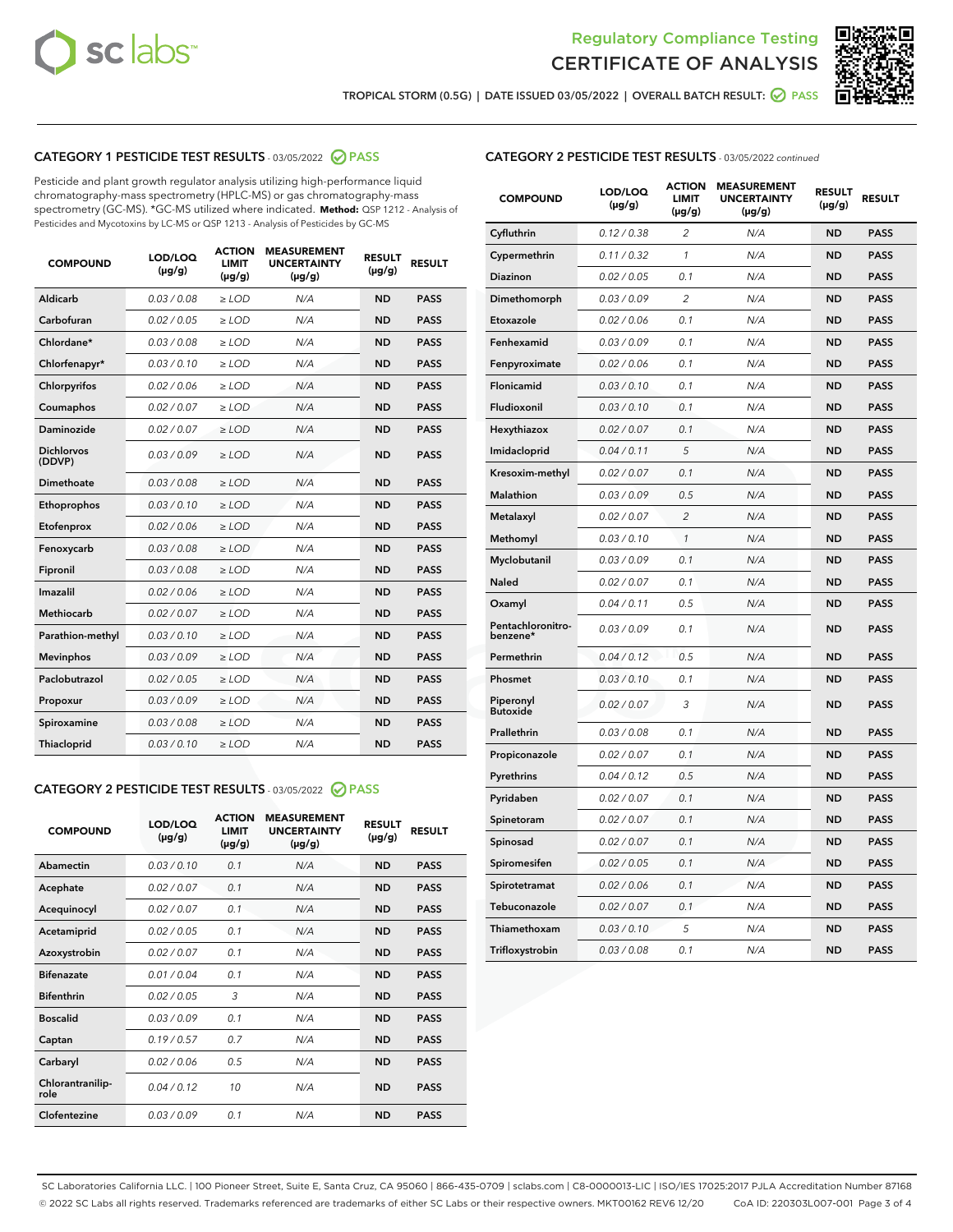



TROPICAL STORM (0.5G) | DATE ISSUED 03/05/2022 | OVERALL BATCH RESULT: ◯ PASS

# CATEGORY 1 PESTICIDE TEST RESULTS - 03/05/2022 2 PASS

Pesticide and plant growth regulator analysis utilizing high-performance liquid chromatography-mass spectrometry (HPLC-MS) or gas chromatography-mass spectrometry (GC-MS). \*GC-MS utilized where indicated. **Method:** QSP 1212 - Analysis of Pesticides and Mycotoxins by LC-MS or QSP 1213 - Analysis of Pesticides by GC-MS

| <b>COMPOUND</b>             | LOD/LOQ<br>$(\mu g/g)$ | <b>LIMIT</b><br>$(\mu g/g)$ | <b>UNCERTAINTY</b><br>$(\mu g/g)$ | <b>RESULT</b><br>$(\mu g/g)$ | <b>RESULT</b> |
|-----------------------------|------------------------|-----------------------------|-----------------------------------|------------------------------|---------------|
| <b>Aldicarb</b>             | 0.03 / 0.08            | $\geq$ LOD                  | N/A                               | <b>ND</b>                    | <b>PASS</b>   |
| Carbofuran                  | 0.02 / 0.05            | $\ge$ LOD                   | N/A                               | <b>ND</b>                    | <b>PASS</b>   |
| Chlordane*                  | 0.03/0.08              | $>$ LOD                     | N/A                               | <b>ND</b>                    | <b>PASS</b>   |
| Chlorfenapyr*               | 0.03/0.10              | $>$ LOD                     | N/A                               | <b>ND</b>                    | <b>PASS</b>   |
| Chlorpyrifos                | 0.02/0.06              | $\ge$ LOD                   | N/A                               | <b>ND</b>                    | <b>PASS</b>   |
| Coumaphos                   | 0.02 / 0.07            | $\ge$ LOD                   | N/A                               | <b>ND</b>                    | <b>PASS</b>   |
| <b>Daminozide</b>           | 0.02 / 0.07            | $\ge$ LOD                   | N/A                               | <b>ND</b>                    | <b>PASS</b>   |
| <b>Dichlorvos</b><br>(DDVP) | 0.03/0.09              | $\ge$ LOD                   | N/A                               | <b>ND</b>                    | <b>PASS</b>   |
| Dimethoate                  | 0.03/0.08              | $>$ LOD                     | N/A                               | <b>ND</b>                    | <b>PASS</b>   |
| Ethoprophos                 | 0.03/0.10              | $\ge$ LOD                   | N/A                               | <b>ND</b>                    | <b>PASS</b>   |
| Etofenprox                  | 0.02 / 0.06            | $>$ LOD                     | N/A                               | <b>ND</b>                    | <b>PASS</b>   |
| Fenoxycarb                  | 0.03 / 0.08            | $\ge$ LOD                   | N/A                               | <b>ND</b>                    | <b>PASS</b>   |
| Fipronil                    | 0.03 / 0.08            | $\ge$ LOD                   | N/A                               | <b>ND</b>                    | <b>PASS</b>   |
| Imazalil                    | 0.02 / 0.06            | $\ge$ LOD                   | N/A                               | <b>ND</b>                    | <b>PASS</b>   |
| <b>Methiocarb</b>           | 0.02 / 0.07            | $\ge$ LOD                   | N/A                               | <b>ND</b>                    | <b>PASS</b>   |
| Parathion-methyl            | 0.03/0.10              | $\ge$ LOD                   | N/A                               | <b>ND</b>                    | <b>PASS</b>   |
| <b>Mevinphos</b>            | 0.03/0.09              | $\ge$ LOD                   | N/A                               | <b>ND</b>                    | <b>PASS</b>   |
| Paclobutrazol               | 0.02 / 0.05            | $\ge$ LOD                   | N/A                               | <b>ND</b>                    | <b>PASS</b>   |
| Propoxur                    | 0.03/0.09              | $\ge$ LOD                   | N/A                               | <b>ND</b>                    | <b>PASS</b>   |
| Spiroxamine                 | 0.03 / 0.08            | $\ge$ LOD                   | N/A                               | <b>ND</b>                    | <b>PASS</b>   |
| Thiacloprid                 | 0.03/0.10              | $>$ LOD                     | N/A                               | <b>ND</b>                    | <b>PASS</b>   |

# CATEGORY 2 PESTICIDE TEST RESULTS - 03/05/2022 2 PASS

| <b>COMPOUND</b>          | LOD/LOO<br>$(\mu g/g)$ | <b>ACTION</b><br><b>LIMIT</b><br>$(\mu g/g)$ | <b>MEASUREMENT</b><br><b>UNCERTAINTY</b><br>$(\mu g/g)$ | <b>RESULT</b><br>$(\mu g/g)$ | <b>RESULT</b> |
|--------------------------|------------------------|----------------------------------------------|---------------------------------------------------------|------------------------------|---------------|
| Abamectin                | 0.03/0.10              | 0.1                                          | N/A                                                     | <b>ND</b>                    | <b>PASS</b>   |
| Acephate                 | 0.02/0.07              | 0.1                                          | N/A                                                     | <b>ND</b>                    | <b>PASS</b>   |
| Acequinocyl              | 0.02/0.07              | 0.1                                          | N/A                                                     | <b>ND</b>                    | <b>PASS</b>   |
| Acetamiprid              | 0.02/0.05              | 0.1                                          | N/A                                                     | <b>ND</b>                    | <b>PASS</b>   |
| Azoxystrobin             | 0.02/0.07              | 0.1                                          | N/A                                                     | <b>ND</b>                    | <b>PASS</b>   |
| <b>Bifenazate</b>        | 0.01/0.04              | 0.1                                          | N/A                                                     | <b>ND</b>                    | <b>PASS</b>   |
| <b>Bifenthrin</b>        | 0.02/0.05              | 3                                            | N/A                                                     | <b>ND</b>                    | <b>PASS</b>   |
| <b>Boscalid</b>          | 0.03/0.09              | 0.1                                          | N/A                                                     | <b>ND</b>                    | <b>PASS</b>   |
| Captan                   | 0.19/0.57              | 0.7                                          | N/A                                                     | <b>ND</b>                    | <b>PASS</b>   |
| Carbaryl                 | 0.02/0.06              | 0.5                                          | N/A                                                     | <b>ND</b>                    | <b>PASS</b>   |
| Chlorantranilip-<br>role | 0.04/0.12              | 10                                           | N/A                                                     | <b>ND</b>                    | <b>PASS</b>   |
| Clofentezine             | 0.03/0.09              | 0.1                                          | N/A                                                     | <b>ND</b>                    | <b>PASS</b>   |

# CATEGORY 2 PESTICIDE TEST RESULTS - 03/05/2022 continued

| <b>COMPOUND</b>               | LOD/LOQ<br>(µg/g) | <b>ACTION</b><br>LIMIT<br>(µg/g) | <b>MEASUREMENT</b><br><b>UNCERTAINTY</b><br>(µg/g) | <b>RESULT</b><br>(µg/g) | <b>RESULT</b> |
|-------------------------------|-------------------|----------------------------------|----------------------------------------------------|-------------------------|---------------|
| Cyfluthrin                    | 0.12 / 0.38       | 2                                | N/A                                                | <b>ND</b>               | <b>PASS</b>   |
| Cypermethrin                  | 0.11 / 0.32       | 1                                | N/A                                                | <b>ND</b>               | <b>PASS</b>   |
| Diazinon                      | 0.02 / 0.05       | 0.1                              | N/A                                                | <b>ND</b>               | <b>PASS</b>   |
| Dimethomorph                  | 0.03 / 0.09       | $\overline{2}$                   | N/A                                                | <b>ND</b>               | <b>PASS</b>   |
| Etoxazole                     | 0.02 / 0.06       | 0.1                              | N/A                                                | <b>ND</b>               | <b>PASS</b>   |
| Fenhexamid                    | 0.03 / 0.09       | 0.1                              | N/A                                                | ND                      | <b>PASS</b>   |
| Fenpyroximate                 | 0.02 / 0.06       | 0.1                              | N/A                                                | <b>ND</b>               | <b>PASS</b>   |
| Flonicamid                    | 0.03 / 0.10       | 0.1                              | N/A                                                | <b>ND</b>               | <b>PASS</b>   |
| Fludioxonil                   | 0.03/0.10         | 0.1                              | N/A                                                | <b>ND</b>               | <b>PASS</b>   |
| Hexythiazox                   | 0.02 / 0.07       | 0.1                              | N/A                                                | <b>ND</b>               | <b>PASS</b>   |
| Imidacloprid                  | 0.04 / 0.11       | 5                                | N/A                                                | <b>ND</b>               | <b>PASS</b>   |
| Kresoxim-methyl               | 0.02 / 0.07       | 0.1                              | N/A                                                | <b>ND</b>               | <b>PASS</b>   |
| Malathion                     | 0.03 / 0.09       | 0.5                              | N/A                                                | <b>ND</b>               | <b>PASS</b>   |
| Metalaxyl                     | 0.02 / 0.07       | $\overline{c}$                   | N/A                                                | <b>ND</b>               | <b>PASS</b>   |
| Methomyl                      | 0.03 / 0.10       | $\mathcal{I}$                    | N/A                                                | <b>ND</b>               | <b>PASS</b>   |
| Myclobutanil                  | 0.03 / 0.09       | 0.1                              | N/A                                                | <b>ND</b>               | <b>PASS</b>   |
| Naled                         | 0.02 / 0.07       | 0.1                              | N/A                                                | <b>ND</b>               | <b>PASS</b>   |
| Oxamyl                        | 0.04 / 0.11       | 0.5                              | N/A                                                | <b>ND</b>               | <b>PASS</b>   |
| Pentachloronitro-<br>benzene* | 0.03 / 0.09       | 0.1                              | N/A                                                | <b>ND</b>               | <b>PASS</b>   |
| Permethrin                    | 0.04 / 0.12       | 0.5                              | N/A                                                | <b>ND</b>               | <b>PASS</b>   |
| Phosmet                       | 0.03 / 0.10       | 0.1                              | N/A                                                | <b>ND</b>               | <b>PASS</b>   |
| Piperonyl<br><b>Butoxide</b>  | 0.02 / 0.07       | 3                                | N/A                                                | <b>ND</b>               | <b>PASS</b>   |
| Prallethrin                   | 0.03 / 0.08       | 0.1                              | N/A                                                | <b>ND</b>               | <b>PASS</b>   |
| Propiconazole                 | 0.02 / 0.07       | 0.1                              | N/A                                                | <b>ND</b>               | <b>PASS</b>   |
| Pyrethrins                    | 0.04 / 0.12       | 0.5                              | N/A                                                | <b>ND</b>               | <b>PASS</b>   |
| Pyridaben                     | 0.02 / 0.07       | 0.1                              | N/A                                                | <b>ND</b>               | <b>PASS</b>   |
| Spinetoram                    | 0.02 / 0.07       | 0.1                              | N/A                                                | <b>ND</b>               | <b>PASS</b>   |
| Spinosad                      | 0.02 / 0.07       | 0.1                              | N/A                                                | <b>ND</b>               | <b>PASS</b>   |
| Spiromesifen                  | 0.02 / 0.05       | 0.1                              | N/A                                                | <b>ND</b>               | <b>PASS</b>   |
| Spirotetramat                 | 0.02 / 0.06       | 0.1                              | N/A                                                | <b>ND</b>               | <b>PASS</b>   |
| Tebuconazole                  | 0.02 / 0.07       | 0.1                              | N/A                                                | <b>ND</b>               | <b>PASS</b>   |
| Thiamethoxam                  | 0.03/0.10         | 5                                | N/A                                                | <b>ND</b>               | <b>PASS</b>   |
| Trifloxystrobin               | 0.03 / 0.08       | 0.1                              | N/A                                                | <b>ND</b>               | <b>PASS</b>   |

SC Laboratories California LLC. | 100 Pioneer Street, Suite E, Santa Cruz, CA 95060 | 866-435-0709 | sclabs.com | C8-0000013-LIC | ISO/IES 17025:2017 PJLA Accreditation Number 87168 © 2022 SC Labs all rights reserved. Trademarks referenced are trademarks of either SC Labs or their respective owners. MKT00162 REV6 12/20 CoA ID: 220303L007-001 Page 3 of 4